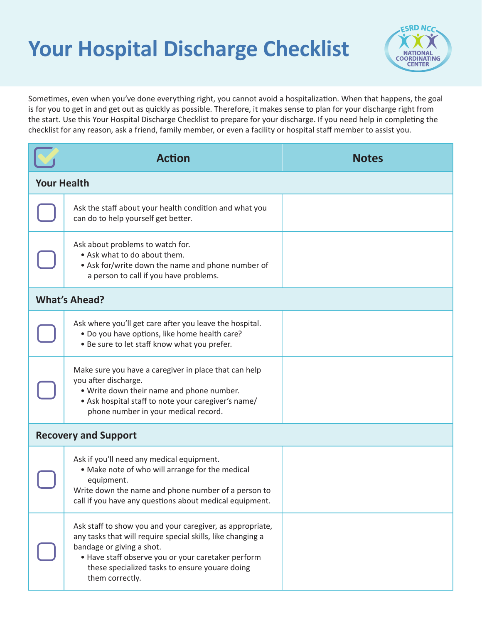## **Your Hospital Discharge Checklist**



Sometimes, even when you've done everything right, you cannot avoid a hospitalization. When that happens, the goal is for you to get in and get out as quickly as possible. Therefore, it makes sense to plan for your discharge right from the start. Use this Your Hospital Discharge Checklist to prepare for your discharge. If you need help in completing the checklist for any reason, ask a friend, family member, or even a facility or hospital staff member to assist you.

|                             | <b>Action</b>                                                                                                                                                                                                                                                                    | <b>Notes</b> |  |
|-----------------------------|----------------------------------------------------------------------------------------------------------------------------------------------------------------------------------------------------------------------------------------------------------------------------------|--------------|--|
| <b>Your Health</b>          |                                                                                                                                                                                                                                                                                  |              |  |
|                             | Ask the staff about your health condition and what you<br>can do to help yourself get better.                                                                                                                                                                                    |              |  |
|                             | Ask about problems to watch for.<br>• Ask what to do about them.<br>• Ask for/write down the name and phone number of<br>a person to call if you have problems.                                                                                                                  |              |  |
| <b>What's Ahead?</b>        |                                                                                                                                                                                                                                                                                  |              |  |
|                             | Ask where you'll get care after you leave the hospital.<br>. Do you have options, like home health care?<br>. Be sure to let staff know what you prefer.                                                                                                                         |              |  |
|                             | Make sure you have a caregiver in place that can help<br>you after discharge.<br>. Write down their name and phone number.<br>• Ask hospital staff to note your caregiver's name/<br>phone number in your medical record.                                                        |              |  |
| <b>Recovery and Support</b> |                                                                                                                                                                                                                                                                                  |              |  |
|                             | Ask if you'll need any medical equipment.<br>• Make note of who will arrange for the medical<br>equipment.<br>Write down the name and phone number of a person to<br>call if you have any questions about medical equipment.                                                     |              |  |
|                             | Ask staff to show you and your caregiver, as appropriate,<br>any tasks that will require special skills, like changing a<br>bandage or giving a shot.<br>• Have staff observe you or your caretaker perform<br>these specialized tasks to ensure youare doing<br>them correctly. |              |  |